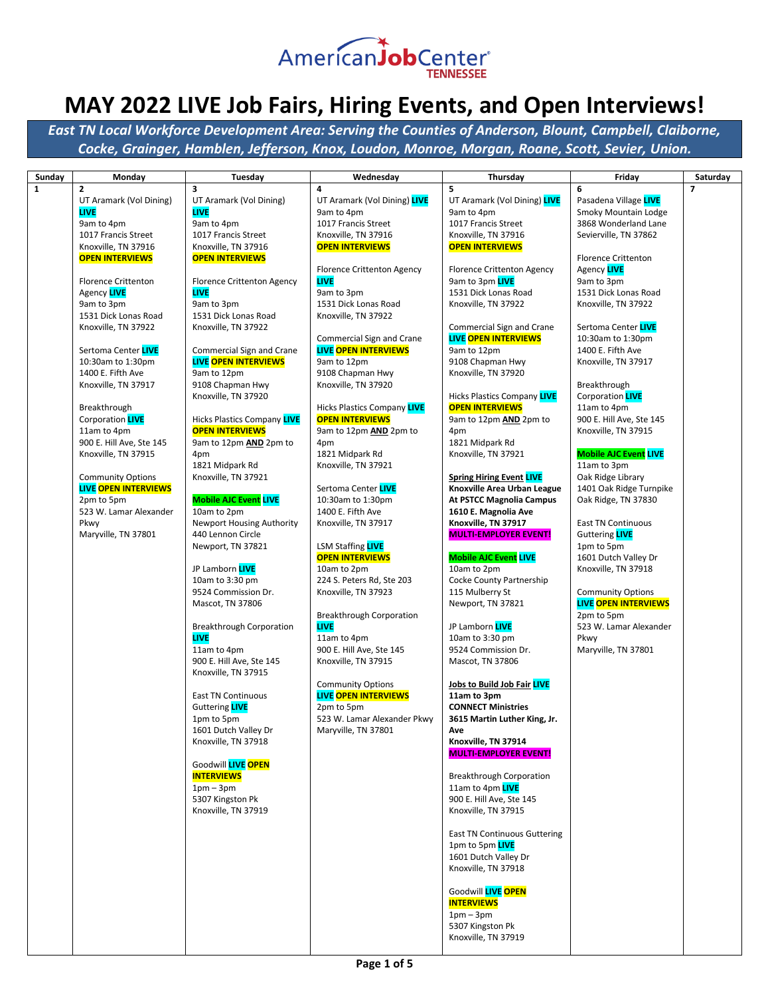

| Sunday       | Monday                      | Tuesday                                 | Wednesday                          | Thursday                                                     | Friday                                           | Saturday                 |
|--------------|-----------------------------|-----------------------------------------|------------------------------------|--------------------------------------------------------------|--------------------------------------------------|--------------------------|
| $\mathbf{1}$ | 2                           | 3                                       | 4                                  | 5                                                            | 6                                                | $\overline{\phantom{a}}$ |
|              | UT Aramark (Vol Dining)     | UT Aramark (Vol Dining)                 | UT Aramark (Vol Dining) LIVE       | UT Aramark (Vol Dining) LIVE                                 | Pasadena Village LIVE                            |                          |
|              | <b>LIVE</b>                 | <b>LIVE</b>                             | 9am to 4pm                         | 9am to 4pm                                                   | Smoky Mountain Lodge                             |                          |
|              | 9am to 4pm                  | 9am to 4pm                              | 1017 Francis Street                | 1017 Francis Street                                          | 3868 Wonderland Lane                             |                          |
|              | 1017 Francis Street         | 1017 Francis Street                     | Knoxville, TN 37916                | Knoxville, TN 37916                                          | Sevierville, TN 37862                            |                          |
|              | Knoxville, TN 37916         | Knoxville, TN 37916                     | <b>OPEN INTERVIEWS</b>             | <b>OPEN INTERVIEWS</b>                                       |                                                  |                          |
|              | <b>OPEN INTERVIEWS</b>      | <b>OPEN INTERVIEWS</b>                  |                                    |                                                              | <b>Florence Crittenton</b>                       |                          |
|              |                             |                                         | <b>Florence Crittenton Agency</b>  | <b>Florence Crittenton Agency</b>                            | Agency LIVE                                      |                          |
|              | <b>Florence Crittenton</b>  | <b>Florence Crittenton Agency</b>       | <b>LIVE</b>                        | 9am to 3pm LIVE                                              | 9am to 3pm                                       |                          |
|              | Agency LIVE                 | <b>LIVE</b>                             | 9am to 3pm                         | 1531 Dick Lonas Road                                         | 1531 Dick Lonas Road                             |                          |
|              | 9am to 3pm                  | 9am to 3pm                              | 1531 Dick Lonas Road               | Knoxville, TN 37922                                          | Knoxville, TN 37922                              |                          |
|              | 1531 Dick Lonas Road        | 1531 Dick Lonas Road                    | Knoxville, TN 37922                |                                                              |                                                  |                          |
|              | Knoxville, TN 37922         | Knoxville, TN 37922                     |                                    | <b>Commercial Sign and Crane</b>                             | Sertoma Center LIVE                              |                          |
|              |                             |                                         | Commercial Sign and Crane          | <b>LIVE OPEN INTERVIEWS</b>                                  | 10:30am to 1:30pm                                |                          |
|              | Sertoma Center LIVE         | Commercial Sign and Crane               | <b>LIVE OPEN INTERVIEWS</b>        | 9am to 12pm                                                  | 1400 E. Fifth Ave                                |                          |
|              | 10:30am to 1:30pm           | <b>LIVE OPEN INTERVIEWS</b>             | 9am to 12pm                        | 9108 Chapman Hwy                                             | Knoxville, TN 37917                              |                          |
|              | 1400 E. Fifth Ave           | 9am to 12pm                             | 9108 Chapman Hwy                   | Knoxville, TN 37920                                          |                                                  |                          |
|              | Knoxville, TN 37917         | 9108 Chapman Hwy                        | Knoxville, TN 37920                |                                                              | Breakthrough<br>Corporation <b>LIVE</b>          |                          |
|              | Breakthrough                | Knoxville, TN 37920                     | <b>Hicks Plastics Company LIVE</b> | <b>Hicks Plastics Company LIVE</b><br><b>OPEN INTERVIEWS</b> | 11am to 4pm                                      |                          |
|              | Corporation <b>LIVE</b>     | <b>Hicks Plastics Company LIVE</b>      | <b>OPEN INTERVIEWS</b>             | 9am to 12pm <b>AND</b> 2pm to                                | 900 E. Hill Ave, Ste 145                         |                          |
|              | 11am to 4pm                 | <b>OPEN INTERVIEWS</b>                  | 9am to 12pm AND 2pm to             | 4pm                                                          | Knoxville, TN 37915                              |                          |
|              | 900 E. Hill Ave, Ste 145    | 9am to 12pm <b>AND</b> 2pm to           | 4pm                                | 1821 Midpark Rd                                              |                                                  |                          |
|              | Knoxville, TN 37915         | 4pm                                     | 1821 Midpark Rd                    | Knoxville, TN 37921                                          | <b>Mobile AJC Event LIVE</b>                     |                          |
|              |                             | 1821 Midpark Rd                         | Knoxville, TN 37921                |                                                              | 11am to 3pm                                      |                          |
|              | <b>Community Options</b>    | Knoxville, TN 37921                     |                                    | <b>Spring Hiring Event LIVE</b>                              | Oak Ridge Library                                |                          |
|              | <b>LIVE OPEN INTERVIEWS</b> |                                         | Sertoma Center LIVE                | Knoxville Area Urban League                                  | 1401 Oak Ridge Turnpike                          |                          |
|              | 2pm to 5pm                  | <b>Mobile AJC Event LIVE</b>            | 10:30am to 1:30pm                  | <b>At PSTCC Magnolia Campus</b>                              | Oak Ridge, TN 37830                              |                          |
|              | 523 W. Lamar Alexander      | 10am to 2pm                             | 1400 E. Fifth Ave                  | 1610 E. Magnolia Ave                                         |                                                  |                          |
|              | Pkwy                        | <b>Newport Housing Authority</b>        | Knoxville, TN 37917                | Knoxville, TN 37917                                          | <b>East TN Continuous</b>                        |                          |
|              | Maryville, TN 37801         | 440 Lennon Circle                       |                                    | <b>MULTI-EMPLOYER EVENT!</b>                                 | Guttering <b>LIVE</b>                            |                          |
|              |                             | Newport, TN 37821                       | LSM Staffing <b>LIVE</b>           |                                                              | 1pm to 5pm                                       |                          |
|              |                             |                                         | <b>OPEN INTERVIEWS</b>             | <b>Mobile AJC Event LIVE</b>                                 | 1601 Dutch Valley Dr                             |                          |
|              |                             | JP Lamborn LIVE                         | 10am to 2pm                        | 10am to 2pm                                                  | Knoxville, TN 37918                              |                          |
|              |                             | 10am to 3:30 pm                         | 224 S. Peters Rd, Ste 203          | Cocke County Partnership                                     |                                                  |                          |
|              |                             | 9524 Commission Dr.<br>Mascot, TN 37806 | Knoxville, TN 37923                | 115 Mulberry St<br>Newport, TN 37821                         | <b>Community Options</b><br>LIVE OPEN INTERVIEWS |                          |
|              |                             |                                         | <b>Breakthrough Corporation</b>    |                                                              | 2pm to 5pm                                       |                          |
|              |                             | <b>Breakthrough Corporation</b>         | <b>LIVE</b>                        | JP Lamborn LIVE                                              | 523 W. Lamar Alexander                           |                          |
|              |                             | <b>LIVE</b>                             | 11am to 4pm                        | 10am to 3:30 pm                                              | Pkwy                                             |                          |
|              |                             | 11am to 4pm                             | 900 E. Hill Ave, Ste 145           | 9524 Commission Dr.                                          | Maryville, TN 37801                              |                          |
|              |                             | 900 E. Hill Ave, Ste 145                | Knoxville, TN 37915                | Mascot, TN 37806                                             |                                                  |                          |
|              |                             | Knoxville, TN 37915                     |                                    |                                                              |                                                  |                          |
|              |                             |                                         | <b>Community Options</b>           | <b>Jobs to Build Job Fair LIVE</b>                           |                                                  |                          |
|              |                             | <b>East TN Continuous</b>               | <b>LIVE OPEN INTERVIEWS</b>        | 11am to 3pm                                                  |                                                  |                          |
|              |                             | Guttering <b>LIVE</b>                   | 2pm to 5pm                         | <b>CONNECT Ministries</b>                                    |                                                  |                          |
|              |                             | 1pm to 5pm                              | 523 W. Lamar Alexander Pkwy        | 3615 Martin Luther King, Jr.                                 |                                                  |                          |
|              |                             | 1601 Dutch Valley Dr                    | Maryville, TN 37801                | Ave                                                          |                                                  |                          |
|              |                             | Knoxville, TN 37918                     |                                    | Knoxville, TN 37914<br><b>MULTI-EMPLOYER EVENT!</b>          |                                                  |                          |
|              |                             | Goodwill LIVE OPEN                      |                                    |                                                              |                                                  |                          |
|              |                             | <b>INTERVIEWS</b>                       |                                    | <b>Breakthrough Corporation</b>                              |                                                  |                          |
|              |                             | $1pm-3pm$                               |                                    | 11am to 4pm LIVE                                             |                                                  |                          |
|              |                             | 5307 Kingston Pk                        |                                    | 900 E. Hill Ave, Ste 145                                     |                                                  |                          |
|              |                             | Knoxville, TN 37919                     |                                    | Knoxville, TN 37915                                          |                                                  |                          |
|              |                             |                                         |                                    |                                                              |                                                  |                          |
|              |                             |                                         |                                    | <b>East TN Continuous Guttering</b>                          |                                                  |                          |
|              |                             |                                         |                                    | 1pm to 5pm LIVE                                              |                                                  |                          |
|              |                             |                                         |                                    | 1601 Dutch Valley Dr                                         |                                                  |                          |
|              |                             |                                         |                                    | Knoxville, TN 37918                                          |                                                  |                          |
|              |                             |                                         |                                    | Goodwill LIVE OPEN                                           |                                                  |                          |
|              |                             |                                         |                                    | <b>INTERVIEWS</b>                                            |                                                  |                          |
|              |                             |                                         |                                    | $1pm-3pm$                                                    |                                                  |                          |
|              |                             |                                         |                                    | 5307 Kingston Pk                                             |                                                  |                          |
|              |                             |                                         |                                    | Knoxville, TN 37919                                          |                                                  |                          |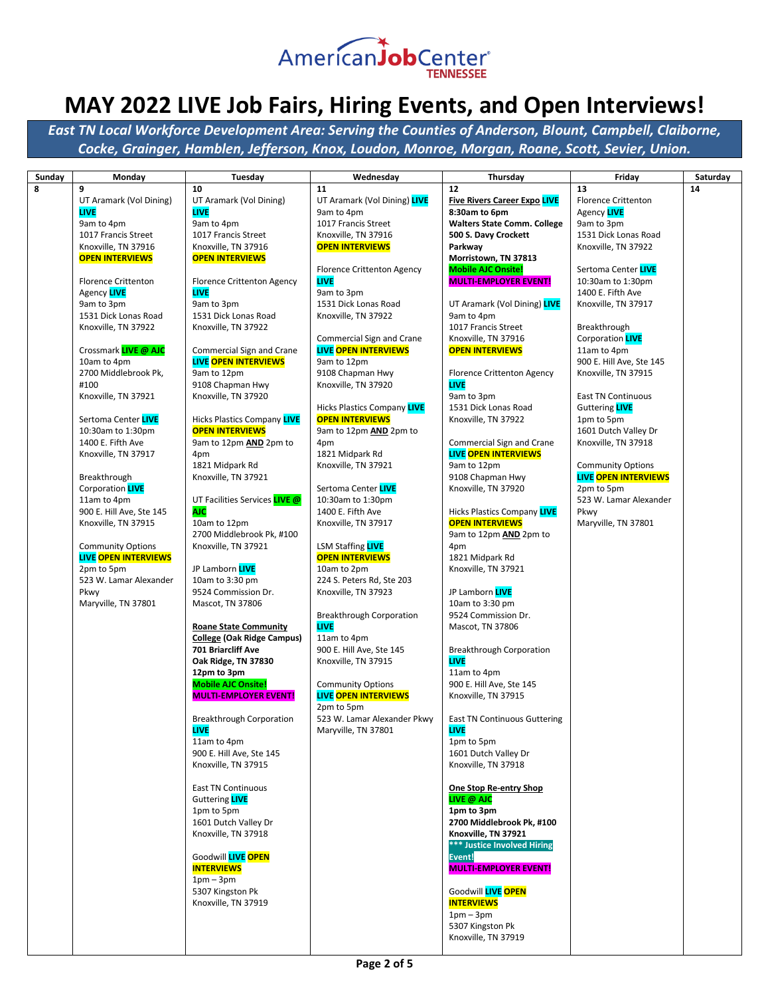

| Sunday | Monday                      | Tuesday                                          | Wednesday                                 | Thursday                                                  | Friday                                             | Saturday |
|--------|-----------------------------|--------------------------------------------------|-------------------------------------------|-----------------------------------------------------------|----------------------------------------------------|----------|
| 8      | 9                           | 10                                               | 11                                        | 12 <sup>2</sup>                                           | 13                                                 | 14       |
|        | UT Aramark (Vol Dining)     | UT Aramark (Vol Dining)                          | UT Aramark (Vol Dining) LIVE              | <b>Five Rivers Career Expo LIVE</b>                       | <b>Florence Crittenton</b>                         |          |
|        | <b>LIVE</b>                 | <b>LIVE</b>                                      | 9am to 4pm                                | 8:30am to 6pm                                             | Agency LIVE                                        |          |
|        | 9am to 4pm                  | 9am to 4pm                                       | 1017 Francis Street                       | <b>Walters State Comm. College</b>                        | 9am to 3pm                                         |          |
|        | 1017 Francis Street         | 1017 Francis Street                              | Knoxville, TN 37916                       | 500 S. Davy Crockett                                      | 1531 Dick Lonas Road                               |          |
|        | Knoxville, TN 37916         | Knoxville, TN 37916                              | <b>OPEN INTERVIEWS</b>                    | Parkway                                                   | Knoxville, TN 37922                                |          |
|        | <b>OPEN INTERVIEWS</b>      | <b>OPEN INTERVIEWS</b>                           |                                           | Morristown, TN 37813                                      |                                                    |          |
|        | <b>Florence Crittenton</b>  | <b>Florence Crittenton Agency</b>                | <b>Florence Crittenton Agency</b><br>LIVE | <b>Mobile AJC Onsite!</b><br><b>MULTI-EMPLOYER EVENT!</b> | Sertoma Center LIVE<br>10:30am to 1:30pm           |          |
|        | Agency LIVE                 | <b>LIVE</b>                                      | 9am to 3pm                                |                                                           | 1400 E. Fifth Ave                                  |          |
|        | 9am to 3pm                  | 9am to 3pm                                       | 1531 Dick Lonas Road                      | UT Aramark (Vol Dining) LIVE                              | Knoxville, TN 37917                                |          |
|        | 1531 Dick Lonas Road        | 1531 Dick Lonas Road                             | Knoxville, TN 37922                       | 9am to 4pm                                                |                                                    |          |
|        | Knoxville, TN 37922         | Knoxville, TN 37922                              |                                           | 1017 Francis Street                                       | Breakthrough                                       |          |
|        |                             |                                                  | Commercial Sign and Crane                 | Knoxville, TN 37916                                       | Corporation <b>LIVE</b>                            |          |
|        | Crossmark LIVE @ AJC        | Commercial Sign and Crane                        | <b>LIVE OPEN INTERVIEWS</b>               | <b>OPEN INTERVIEWS</b>                                    | 11am to 4pm                                        |          |
|        | 10am to 4pm                 | <b>LIVE OPEN INTERVIEWS</b>                      | 9am to 12pm                               |                                                           | 900 E. Hill Ave, Ste 145                           |          |
|        | 2700 Middlebrook Pk,        | 9am to 12pm                                      | 9108 Chapman Hwy                          | <b>Florence Crittenton Agency</b>                         | Knoxville, TN 37915                                |          |
|        | #100                        | 9108 Chapman Hwy                                 | Knoxville, TN 37920                       | <b>LIVE</b>                                               |                                                    |          |
|        | Knoxville, TN 37921         | Knoxville, TN 37920                              | <b>Hicks Plastics Company LIVE</b>        | 9am to 3pm<br>1531 Dick Lonas Road                        | <b>East TN Continuous</b><br>Guttering <b>LIVE</b> |          |
|        | Sertoma Center LIVE         | <b>Hicks Plastics Company LIVE</b>               | <b>OPEN INTERVIEWS</b>                    | Knoxville, TN 37922                                       | 1pm to 5pm                                         |          |
|        | 10:30am to 1:30pm           | <b>OPEN INTERVIEWS</b>                           | 9am to 12pm <b>AND</b> 2pm to             |                                                           | 1601 Dutch Valley Dr                               |          |
|        | 1400 E. Fifth Ave           | 9am to 12pm <b>AND</b> 2pm to                    | 4pm                                       | Commercial Sign and Crane                                 | Knoxville, TN 37918                                |          |
|        | Knoxville, TN 37917         | 4pm                                              | 1821 Midpark Rd                           | <b>LIVE OPEN INTERVIEWS</b>                               |                                                    |          |
|        |                             | 1821 Midpark Rd                                  | Knoxville, TN 37921                       | 9am to 12pm                                               | <b>Community Options</b>                           |          |
|        | Breakthrough                | Knoxville, TN 37921                              |                                           | 9108 Chapman Hwy                                          | <b>LIVE OPEN INTERVIEWS</b>                        |          |
|        | Corporation <b>LIVE</b>     |                                                  | Sertoma Center LIVE                       | Knoxville, TN 37920                                       | 2pm to 5pm                                         |          |
|        | 11am to 4pm                 | UT Facilities Services LIVE @                    | 10:30am to 1:30pm                         |                                                           | 523 W. Lamar Alexander                             |          |
|        | 900 E. Hill Ave, Ste 145    | AJC.                                             | 1400 E. Fifth Ave                         | Hicks Plastics Company LIVE                               | Pkwy                                               |          |
|        | Knoxville, TN 37915         | 10am to 12pm                                     | Knoxville, TN 37917                       | <b>OPEN INTERVIEWS</b>                                    | Maryville, TN 37801                                |          |
|        | <b>Community Options</b>    | 2700 Middlebrook Pk, #100<br>Knoxville, TN 37921 | <b>LSM Staffing LIVE</b>                  | 9am to 12pm AND 2pm to<br>4pm                             |                                                    |          |
|        | <b>LIVE OPEN INTERVIEWS</b> |                                                  | <b>OPEN INTERVIEWS</b>                    | 1821 Midpark Rd                                           |                                                    |          |
|        | 2pm to 5pm                  | JP Lamborn LIVE                                  | 10am to 2pm                               | Knoxville, TN 37921                                       |                                                    |          |
|        | 523 W. Lamar Alexander      | 10am to 3:30 pm                                  | 224 S. Peters Rd, Ste 203                 |                                                           |                                                    |          |
|        | Pkwy                        | 9524 Commission Dr.                              | Knoxville, TN 37923                       | JP Lamborn LIVE                                           |                                                    |          |
|        | Maryville, TN 37801         | Mascot, TN 37806                                 |                                           | 10am to 3:30 pm                                           |                                                    |          |
|        |                             |                                                  | <b>Breakthrough Corporation</b>           | 9524 Commission Dr.                                       |                                                    |          |
|        |                             | <b>Roane State Community</b>                     | <b>LIVE</b>                               | Mascot, TN 37806                                          |                                                    |          |
|        |                             | College (Oak Ridge Campus)<br>701 Briarcliff Ave | 11am to 4pm<br>900 E. Hill Ave, Ste 145   | <b>Breakthrough Corporation</b>                           |                                                    |          |
|        |                             | Oak Ridge, TN 37830                              | Knoxville, TN 37915                       | <b>LIVE</b>                                               |                                                    |          |
|        |                             | 12pm to 3pm                                      |                                           | 11am to 4pm                                               |                                                    |          |
|        |                             | <b>Mobile AJC Onsite!</b>                        | <b>Community Options</b>                  | 900 E. Hill Ave, Ste 145                                  |                                                    |          |
|        |                             | <b>MULTI-EMPLOYER EVENT!</b>                     | <b>LIVE OPEN INTERVIEWS</b>               | Knoxville, TN 37915                                       |                                                    |          |
|        |                             |                                                  | 2pm to 5pm                                |                                                           |                                                    |          |
|        |                             | <b>Breakthrough Corporation</b>                  | 523 W. Lamar Alexander Pkwy               | <b>East TN Continuous Guttering</b>                       |                                                    |          |
|        |                             | <b>LIVE</b>                                      | Maryville, TN 37801                       | <b>LIVE</b>                                               |                                                    |          |
|        |                             | 11am to 4pm                                      |                                           | 1pm to 5pm                                                |                                                    |          |
|        |                             | 900 E. Hill Ave, Ste 145<br>Knoxville, TN 37915  |                                           | 1601 Dutch Valley Dr<br>Knoxville, TN 37918               |                                                    |          |
|        |                             |                                                  |                                           |                                                           |                                                    |          |
|        |                             | East TN Continuous                               |                                           | One Stop Re-entry Shop                                    |                                                    |          |
|        |                             | Guttering <b>LIVE</b>                            |                                           | LIVE @ AJC                                                |                                                    |          |
|        |                             | 1pm to 5pm                                       |                                           | 1pm to 3pm                                                |                                                    |          |
|        |                             | 1601 Dutch Valley Dr                             |                                           | 2700 Middlebrook Pk, #100                                 |                                                    |          |
|        |                             | Knoxville, TN 37918                              |                                           | Knoxville, TN 37921                                       |                                                    |          |
|        |                             |                                                  |                                           | *** Justice Involved Hiring                               |                                                    |          |
|        |                             | Goodwill LIVE OPEN                               |                                           | Event!<br><b>MULTI-EMPLOYER EVENT!</b>                    |                                                    |          |
|        |                             | <b>INTERVIEWS</b><br>$1pm-3pm$                   |                                           |                                                           |                                                    |          |
|        |                             | 5307 Kingston Pk                                 |                                           | Goodwill LIVE OPEN                                        |                                                    |          |
|        |                             | Knoxville, TN 37919                              |                                           | <b>INTERVIEWS</b>                                         |                                                    |          |
|        |                             |                                                  |                                           | $1pm-3pm$                                                 |                                                    |          |
|        |                             |                                                  |                                           | 5307 Kingston Pk                                          |                                                    |          |
|        |                             |                                                  |                                           | Knoxville, TN 37919                                       |                                                    |          |
|        |                             |                                                  |                                           |                                                           |                                                    |          |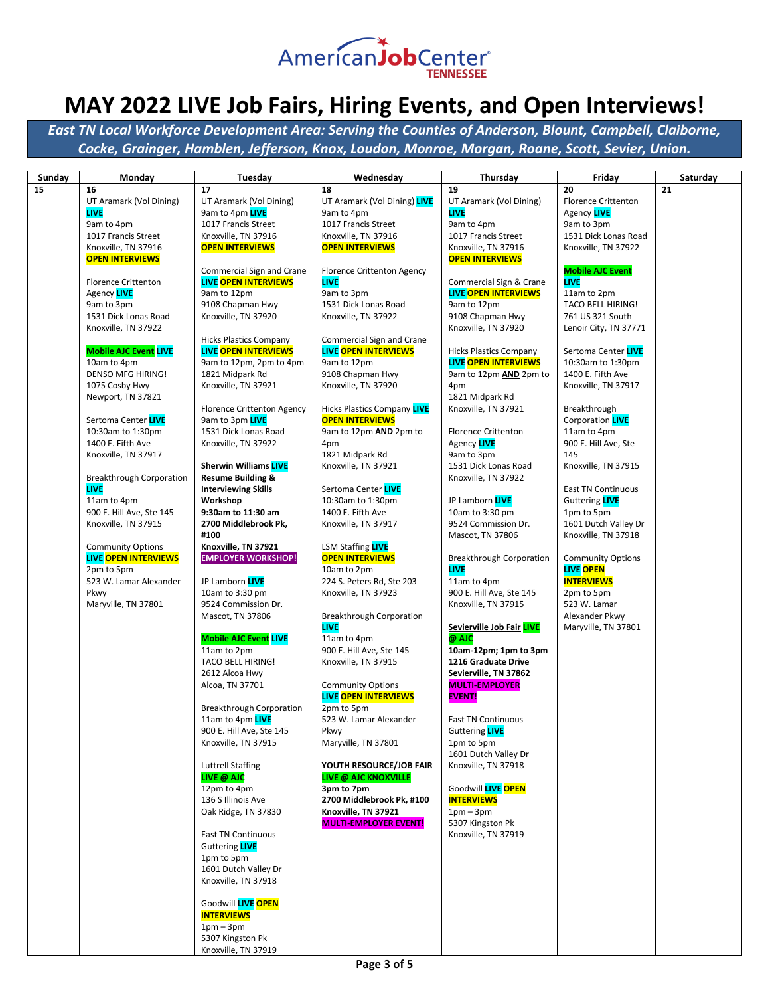

*East TN Local Workforce Development Area: Serving the Counties of Anderson, Blount, Campbell, Claiborne, Cocke, Grainger, Hamblen, Jefferson, Knox, Loudon, Monroe, Morgan, Roane, Scott, Sevier, Union.*

|              |                                        |                                                          |                                                  | Thursday                               |                                  | Saturday |
|--------------|----------------------------------------|----------------------------------------------------------|--------------------------------------------------|----------------------------------------|----------------------------------|----------|
| Sunday<br>15 | Monday<br>16                           | Tuesday<br>17                                            | Wednesday<br>18                                  | 19                                     | Friday<br>20                     | 21       |
|              |                                        | UT Aramark (Vol Dining)                                  | UT Aramark (Vol Dining) LIVE                     |                                        |                                  |          |
|              | UT Aramark (Vol Dining)<br><b>LIVE</b> |                                                          |                                                  | UT Aramark (Vol Dining)<br><b>LIVE</b> | <b>Florence Crittenton</b>       |          |
|              | 9am to 4pm                             | 9am to 4pm <b>LIVE</b><br>1017 Francis Street            | 9am to 4pm<br>1017 Francis Street                | 9am to 4pm                             | Agency LIVE<br>9am to 3pm        |          |
|              | 1017 Francis Street                    | Knoxville, TN 37916                                      | Knoxville, TN 37916                              | 1017 Francis Street                    | 1531 Dick Lonas Road             |          |
|              | Knoxville, TN 37916                    | <b>OPEN INTERVIEWS</b>                                   | <b>OPEN INTERVIEWS</b>                           | Knoxville, TN 37916                    | Knoxville, TN 37922              |          |
|              |                                        |                                                          |                                                  |                                        |                                  |          |
|              | <b>OPEN INTERVIEWS</b>                 |                                                          |                                                  | <b>OPEN INTERVIEWS</b>                 | <b>Mobile AJC Event</b>          |          |
|              |                                        | Commercial Sign and Crane<br><b>LIVE OPEN INTERVIEWS</b> | <b>Florence Crittenton Agency</b><br><b>LIVE</b> |                                        | <b>LIVE</b>                      |          |
|              | <b>Florence Crittenton</b>             |                                                          |                                                  | Commercial Sign & Crane                |                                  |          |
|              | Agency LIVE                            | 9am to 12pm                                              | 9am to 3pm                                       | <b>LIVE OPEN INTERVIEWS</b>            | 11am to 2pm                      |          |
|              | 9am to 3pm                             | 9108 Chapman Hwy                                         | 1531 Dick Lonas Road                             | 9am to 12pm                            | <b>TACO BELL HIRING!</b>         |          |
|              | 1531 Dick Lonas Road                   | Knoxville, TN 37920                                      | Knoxville, TN 37922                              | 9108 Chapman Hwy                       | 761 US 321 South                 |          |
|              | Knoxville, TN 37922                    |                                                          |                                                  | Knoxville, TN 37920                    | Lenoir City, TN 37771            |          |
|              |                                        | <b>Hicks Plastics Company</b>                            | Commercial Sign and Crane                        |                                        |                                  |          |
|              | <b>Mobile AJC Event LIVE</b>           | <b>LIVE OPEN INTERVIEWS</b>                              | <b>LIVE OPEN INTERVIEWS</b>                      | <b>Hicks Plastics Company</b>          | Sertoma Center <mark>LIVE</mark> |          |
|              | 10am to 4pm                            | 9am to 12pm, 2pm to 4pm                                  | 9am to 12pm                                      | <b>LIVE OPEN INTERVIEWS</b>            | 10:30am to 1:30pm                |          |
|              | <b>DENSO MFG HIRING!</b>               | 1821 Midpark Rd                                          | 9108 Chapman Hwy                                 | 9am to 12pm AND 2pm to                 | 1400 E. Fifth Ave                |          |
|              | 1075 Cosby Hwy                         | Knoxville, TN 37921                                      | Knoxville, TN 37920                              | 4pm                                    | Knoxville, TN 37917              |          |
|              | Newport, TN 37821                      |                                                          |                                                  | 1821 Midpark Rd                        |                                  |          |
|              |                                        | <b>Florence Crittenton Agency</b>                        | <b>Hicks Plastics Company LIVE</b>               | Knoxville, TN 37921                    | Breakthrough                     |          |
|              | Sertoma Center LIVE                    | 9am to 3pm LIVE                                          | <b>OPEN INTERVIEWS</b>                           |                                        | Corporation <b>LIVE</b>          |          |
|              | 10:30am to 1:30pm                      | 1531 Dick Lonas Road                                     | 9am to 12pm AND 2pm to                           | <b>Florence Crittenton</b>             | 11am to 4pm                      |          |
|              | 1400 E. Fifth Ave                      | Knoxville, TN 37922                                      | 4pm                                              | Agency LIVE                            | 900 E. Hill Ave, Ste             |          |
|              | Knoxville, TN 37917                    |                                                          | 1821 Midpark Rd                                  | 9am to 3pm                             | 145                              |          |
|              |                                        | <b>Sherwin Williams LIVE</b>                             | Knoxville, TN 37921                              | 1531 Dick Lonas Road                   | Knoxville, TN 37915              |          |
|              | Breakthrough Corporation               | <b>Resume Building &amp;</b>                             |                                                  | Knoxville, TN 37922                    |                                  |          |
|              | <b>LIVE</b>                            | <b>Interviewing Skills</b>                               | Sertoma Center LIVE                              |                                        | <b>East TN Continuous</b>        |          |
|              | 11am to 4pm                            | Workshop                                                 | 10:30am to 1:30pm                                | JP Lamborn LIVE                        | Guttering LIVE                   |          |
|              | 900 E. Hill Ave, Ste 145               | 9:30am to 11:30 am                                       | 1400 E. Fifth Ave                                | 10am to 3:30 pm                        | 1pm to 5pm                       |          |
|              | Knoxville, TN 37915                    | 2700 Middlebrook Pk,                                     | Knoxville, TN 37917                              | 9524 Commission Dr.                    | 1601 Dutch Valley Dr             |          |
|              |                                        | #100                                                     |                                                  | Mascot, TN 37806                       | Knoxville, TN 37918              |          |
|              | <b>Community Options</b>               | Knoxville, TN 37921                                      | <b>LSM Staffing LIVE</b>                         |                                        |                                  |          |
|              | <b>LIVE OPEN INTERVIEWS</b>            | <b>EMPLOYER WORKSHOP!</b>                                | <b>OPEN INTERVIEWS</b>                           | <b>Breakthrough Corporation</b>        | <b>Community Options</b>         |          |
|              | 2pm to 5pm                             |                                                          | 10am to 2pm                                      | <b>LIVE</b>                            | <b>LIVE OPEN</b>                 |          |
|              | 523 W. Lamar Alexander                 | JP Lamborn LIVE                                          | 224 S. Peters Rd, Ste 203                        | 11am to 4pm                            | <b>INTERVIEWS</b>                |          |
|              | Pkwy                                   | 10am to 3:30 pm                                          | Knoxville, TN 37923                              | 900 E. Hill Ave, Ste 145               | 2pm to 5pm                       |          |
|              | Maryville, TN 37801                    | 9524 Commission Dr.                                      |                                                  | Knoxville, TN 37915                    | 523 W. Lamar                     |          |
|              |                                        | Mascot, TN 37806                                         | <b>Breakthrough Corporation</b>                  |                                        | Alexander Pkwy                   |          |
|              |                                        |                                                          | <b>LIVE</b>                                      | Sevierville Job Fair LIVE              | Maryville, TN 37801              |          |
|              |                                        | <b>Mobile AJC Event LIVE</b>                             | 11am to 4pm                                      | @ AJC                                  |                                  |          |
|              |                                        | 11am to 2pm                                              | 900 E. Hill Ave, Ste 145                         | 10am-12pm; 1pm to 3pm                  |                                  |          |
|              |                                        | <b>TACO BELL HIRING!</b>                                 | Knoxville, TN 37915                              | 1216 Graduate Drive                    |                                  |          |
|              |                                        | 2612 Alcoa Hwy                                           |                                                  | Sevierville, TN 37862                  |                                  |          |
|              |                                        | Alcoa, TN 37701                                          | <b>Community Options</b>                         | <b>MULTI-EMPLOYER</b>                  |                                  |          |
|              |                                        |                                                          | <b>LIVE OPEN INTERVIEWS</b>                      | <b>EVENT!</b>                          |                                  |          |
|              |                                        | <b>Breakthrough Corporation</b>                          | 2pm to 5pm                                       |                                        |                                  |          |
|              |                                        | 11am to 4pm LIVE                                         | 523 W. Lamar Alexander                           | <b>East TN Continuous</b>              |                                  |          |
|              |                                        | 900 E. Hill Ave, Ste 145                                 | Pkwy                                             | Guttering LIVE                         |                                  |          |
|              |                                        | Knoxville, TN 37915                                      | Maryville, TN 37801                              | 1pm to 5pm                             |                                  |          |
|              |                                        |                                                          |                                                  | 1601 Dutch Valley Dr                   |                                  |          |
|              |                                        | <b>Luttrell Staffing</b>                                 | YOUTH RESOURCE/JOB FAIR                          | Knoxville, TN 37918                    |                                  |          |
|              |                                        | LIVE @ AJC                                               | <b>LIVE @ AJC KNOXVILLE</b>                      |                                        |                                  |          |
|              |                                        | 12pm to 4pm                                              | 3pm to 7pm                                       | Goodwill LIVE OPEN                     |                                  |          |
|              |                                        | 136 S Illinois Ave                                       | 2700 Middlebrook Pk, #100                        | <b>INTERVIEWS</b>                      |                                  |          |
|              |                                        | Oak Ridge, TN 37830                                      | Knoxville, TN 37921                              | $1pm-3pm$                              |                                  |          |
|              |                                        |                                                          | <b>MULTI-EMPLOYER EVENT!</b>                     | 5307 Kingston Pk                       |                                  |          |
|              |                                        | East TN Continuous                                       |                                                  | Knoxville, TN 37919                    |                                  |          |
|              |                                        | Guttering <b>LIVE</b>                                    |                                                  |                                        |                                  |          |
|              |                                        | 1pm to 5pm                                               |                                                  |                                        |                                  |          |
|              |                                        | 1601 Dutch Valley Dr                                     |                                                  |                                        |                                  |          |
|              |                                        | Knoxville, TN 37918                                      |                                                  |                                        |                                  |          |
|              |                                        |                                                          |                                                  |                                        |                                  |          |
|              |                                        | Goodwill LIVE OPEN                                       |                                                  |                                        |                                  |          |
|              |                                        | <b>INTERVIEWS</b>                                        |                                                  |                                        |                                  |          |
|              |                                        | $1pm-3pm$                                                |                                                  |                                        |                                  |          |
|              |                                        | 5307 Kingston Pk                                         |                                                  |                                        |                                  |          |

Knoxville, TN 37919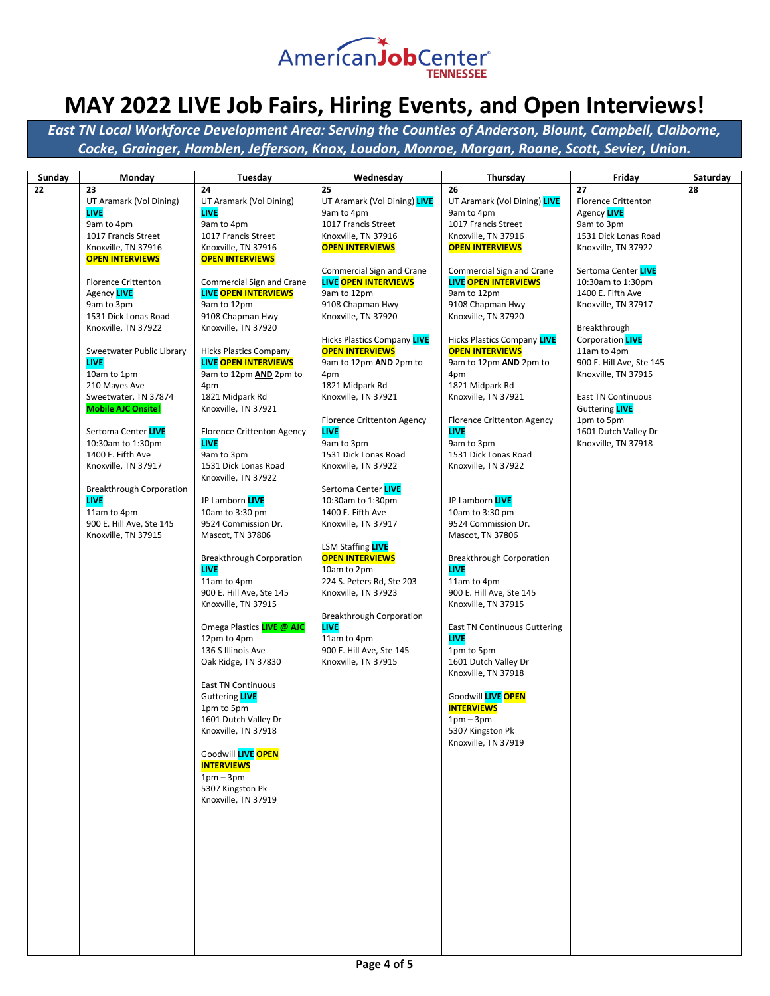

| Sunday | Monday                                         | Tuesday                             | Wednesday                                       | <b>Thursday</b>                     | Friday                                 | Saturday |
|--------|------------------------------------------------|-------------------------------------|-------------------------------------------------|-------------------------------------|----------------------------------------|----------|
| 22     | 23                                             | 24                                  | 25                                              | 26                                  | 27                                     | 28       |
|        | UT Aramark (Vol Dining)                        | UT Aramark (Vol Dining)             | UT Aramark (Vol Dining) LIVE                    | UT Aramark (Vol Dining) LIVE        | <b>Florence Crittenton</b>             |          |
|        | <b>LIVE</b>                                    | <b>LIVE</b>                         | 9am to 4pm                                      | 9am to 4pm                          | Agency LIVE                            |          |
|        | 9am to 4pm                                     | 9am to 4pm                          | 1017 Francis Street                             | 1017 Francis Street                 | 9am to 3pm                             |          |
|        | 1017 Francis Street                            | 1017 Francis Street                 | Knoxville, TN 37916                             | Knoxville, TN 37916                 | 1531 Dick Lonas Road                   |          |
|        | Knoxville, TN 37916                            | Knoxville, TN 37916                 | <b>OPEN INTERVIEWS</b>                          | <b>OPEN INTERVIEWS</b>              | Knoxville, TN 37922                    |          |
|        | <b>OPEN INTERVIEWS</b>                         | <b>OPEN INTERVIEWS</b>              |                                                 |                                     |                                        |          |
|        |                                                |                                     | Commercial Sign and Crane                       | Commercial Sign and Crane           | Sertoma Center LIVE                    |          |
|        | <b>Florence Crittenton</b>                     | Commercial Sign and Crane           | <b>LIVE OPEN INTERVIEWS</b>                     | <b>LIVE OPEN INTERVIEWS</b>         | 10:30am to 1:30pm<br>1400 E. Fifth Ave |          |
|        | Agency LIVE<br>9am to 3pm                      | LIVE OPEN INTERVIEWS<br>9am to 12pm | 9am to 12pm<br>9108 Chapman Hwy                 | 9am to 12pm<br>9108 Chapman Hwy     | Knoxville, TN 37917                    |          |
|        | 1531 Dick Lonas Road                           | 9108 Chapman Hwy                    | Knoxville, TN 37920                             | Knoxville, TN 37920                 |                                        |          |
|        | Knoxville, TN 37922                            | Knoxville, TN 37920                 |                                                 |                                     | Breakthrough                           |          |
|        |                                                |                                     | <b>Hicks Plastics Company LIVE</b>              | <b>Hicks Plastics Company LIVE</b>  | Corporation <b>LIVE</b>                |          |
|        | Sweetwater Public Library                      | <b>Hicks Plastics Company</b>       | <b>OPEN INTERVIEWS</b>                          | <b>OPEN INTERVIEWS</b>              | 11am to 4pm                            |          |
|        | <b>LIVE</b>                                    | <b>LIVE OPEN INTERVIEWS</b>         | 9am to 12pm AND 2pm to                          | 9am to 12pm AND 2pm to              | 900 E. Hill Ave, Ste 145               |          |
|        | 10am to 1pm                                    | 9am to 12pm AND 2pm to              | 4pm                                             | 4pm                                 | Knoxville, TN 37915                    |          |
|        | 210 Mayes Ave                                  | 4pm                                 | 1821 Midpark Rd                                 | 1821 Midpark Rd                     |                                        |          |
|        | Sweetwater, TN 37874                           | 1821 Midpark Rd                     | Knoxville, TN 37921                             | Knoxville, TN 37921                 | <b>East TN Continuous</b>              |          |
|        | <b>Mobile AJC Onsite!</b>                      | Knoxville, TN 37921                 |                                                 |                                     | Guttering <b>LIVE</b>                  |          |
|        |                                                |                                     | <b>Florence Crittenton Agency</b>               | <b>Florence Crittenton Agency</b>   | 1pm to 5pm                             |          |
|        | Sertoma Center LIVE                            | <b>Florence Crittenton Agency</b>   | <b>LIVE</b>                                     | <b>LIVE</b>                         | 1601 Dutch Valley Dr                   |          |
|        | 10:30am to 1:30pm                              | LIVE                                | 9am to 3pm                                      | 9am to 3pm                          | Knoxville, TN 37918                    |          |
|        | 1400 E. Fifth Ave                              | 9am to 3pm                          | 1531 Dick Lonas Road                            | 1531 Dick Lonas Road                |                                        |          |
|        | Knoxville, TN 37917                            | 1531 Dick Lonas Road                | Knoxville, TN 37922                             | Knoxville, TN 37922                 |                                        |          |
|        |                                                | Knoxville, TN 37922                 | Sertoma Center LIVE                             |                                     |                                        |          |
|        | <b>Breakthrough Corporation</b><br><b>LIVE</b> | JP Lamborn LIVE                     | 10:30am to 1:30pm                               | JP Lamborn LIVE                     |                                        |          |
|        | 11am to 4pm                                    | 10am to 3:30 pm                     | 1400 E. Fifth Ave                               | 10am to 3:30 pm                     |                                        |          |
|        | 900 E. Hill Ave, Ste 145                       | 9524 Commission Dr.                 | Knoxville, TN 37917                             | 9524 Commission Dr.                 |                                        |          |
|        | Knoxville, TN 37915                            | Mascot, TN 37806                    |                                                 | Mascot, TN 37806                    |                                        |          |
|        |                                                |                                     | <b>LSM Staffing LIVE</b>                        |                                     |                                        |          |
|        |                                                | <b>Breakthrough Corporation</b>     | <b>OPEN INTERVIEWS</b>                          | <b>Breakthrough Corporation</b>     |                                        |          |
|        |                                                | <b>LIVE</b>                         | 10am to 2pm                                     | <b>LIVE</b>                         |                                        |          |
|        |                                                | 11am to 4pm                         | 224 S. Peters Rd, Ste 203                       | 11am to 4pm                         |                                        |          |
|        |                                                | 900 E. Hill Ave, Ste 145            | Knoxville, TN 37923                             | 900 E. Hill Ave, Ste 145            |                                        |          |
|        |                                                | Knoxville, TN 37915                 |                                                 | Knoxville, TN 37915                 |                                        |          |
|        |                                                |                                     | <b>Breakthrough Corporation</b>                 |                                     |                                        |          |
|        |                                                | Omega Plastics <b>LIVE @ AJC</b>    | <b>LIVE</b>                                     | <b>East TN Continuous Guttering</b> |                                        |          |
|        |                                                | 12pm to 4pm                         | 11am to 4pm                                     | <b>LIVE</b>                         |                                        |          |
|        |                                                | 136 S Illinois Ave                  | 900 E. Hill Ave, Ste 145<br>Knoxville, TN 37915 | 1pm to 5pm<br>1601 Dutch Valley Dr  |                                        |          |
|        |                                                | Oak Ridge, TN 37830                 |                                                 | Knoxville, TN 37918                 |                                        |          |
|        |                                                | <b>East TN Continuous</b>           |                                                 |                                     |                                        |          |
|        |                                                | Guttering <b>LIVE</b>               |                                                 | Goodwill LIVE OPEN                  |                                        |          |
|        |                                                | 1pm to 5pm                          |                                                 | <b>INTERVIEWS</b>                   |                                        |          |
|        |                                                | 1601 Dutch Valley Dr                |                                                 | $1pm-3pm$                           |                                        |          |
|        |                                                | Knoxville, TN 37918                 |                                                 | 5307 Kingston Pk                    |                                        |          |
|        |                                                |                                     |                                                 | Knoxville, TN 37919                 |                                        |          |
|        |                                                | Goodwill LIVE OPEN                  |                                                 |                                     |                                        |          |
|        |                                                | <b>INTERVIEWS</b>                   |                                                 |                                     |                                        |          |
|        |                                                | $1pm-3pm$                           |                                                 |                                     |                                        |          |
|        |                                                | 5307 Kingston Pk                    |                                                 |                                     |                                        |          |
|        |                                                | Knoxville, TN 37919                 |                                                 |                                     |                                        |          |
|        |                                                |                                     |                                                 |                                     |                                        |          |
|        |                                                |                                     |                                                 |                                     |                                        |          |
|        |                                                |                                     |                                                 |                                     |                                        |          |
|        |                                                |                                     |                                                 |                                     |                                        |          |
|        |                                                |                                     |                                                 |                                     |                                        |          |
|        |                                                |                                     |                                                 |                                     |                                        |          |
|        |                                                |                                     |                                                 |                                     |                                        |          |
|        |                                                |                                     |                                                 |                                     |                                        |          |
|        |                                                |                                     |                                                 |                                     |                                        |          |
|        |                                                |                                     |                                                 |                                     |                                        |          |
|        |                                                |                                     |                                                 |                                     |                                        |          |